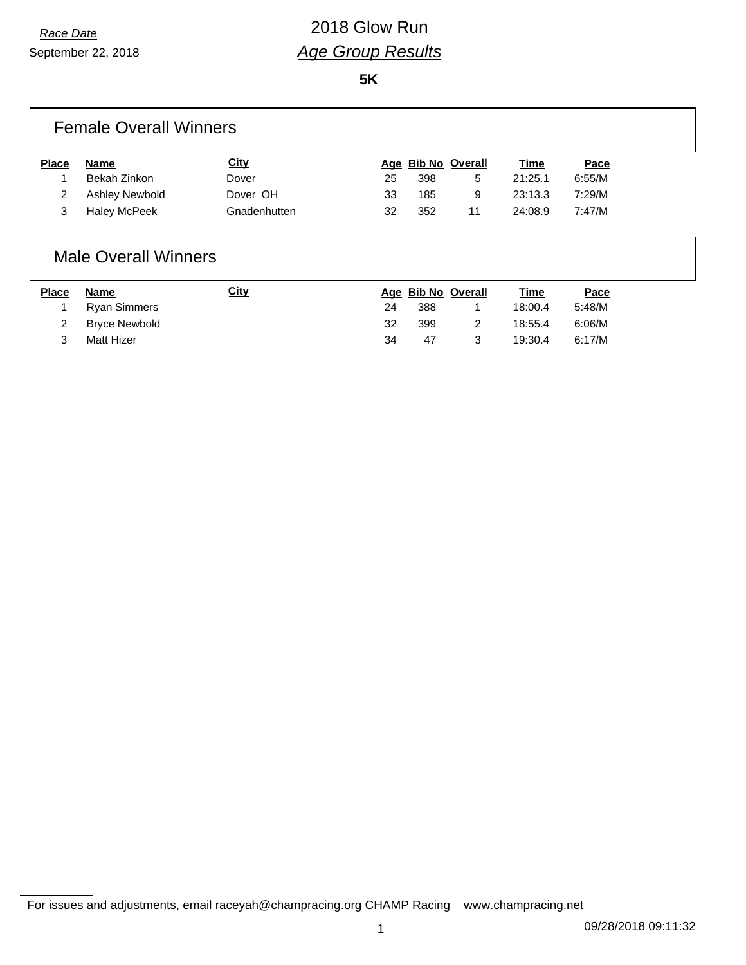# *Race Date* 2018 Glow Run *Age Group Results*

**5K**

#### Female Overall Winners

| Place | Name           | <u>City</u>  |    | Age Bib No Overall |    | <u>Time</u> | <u>Pace</u> |
|-------|----------------|--------------|----|--------------------|----|-------------|-------------|
|       | Bekah Zinkon   | Dover        | 25 | 398                | 5  | 21:25.1     | 6:55/M      |
|       | Ashley Newbold | Dover OH     | 33 | 185                | 9  | 23:13.3     | 7:29/M      |
|       | Haley McPeek   | Gnadenhutten | 32 | 352                | 11 | 24:08.9     | 7:47/M      |
|       |                |              |    |                    |    |             |             |

#### Male Overall Winners

| <b>Place</b> | Name                 | <u>City</u> |    |     | Age Bib No Overall | <b>Time</b> | Pace   |
|--------------|----------------------|-------------|----|-----|--------------------|-------------|--------|
|              | Ryan Simmers         |             | 24 | 388 |                    | 18:00.4     | 5:48/M |
|              | <b>Bryce Newbold</b> |             | 32 | 399 |                    | 18:55.4     | 6:06/M |
|              | Matt Hizer           |             | 34 | 47  |                    | 19:30.4     | 6:17/M |

For issues and adjustments, email raceyah@champracing.org CHAMP Racing www.champracing.net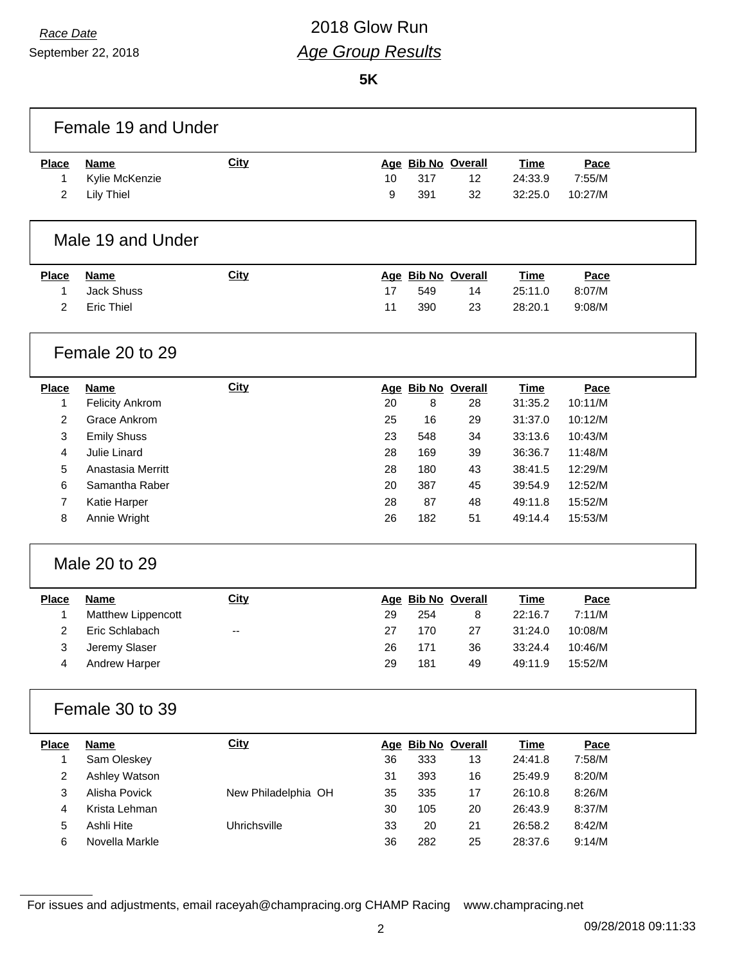September 22, 2018

# *Race Date* 2018 Glow Run *Age Group Results*

**5K**

| <b>Place</b>   | <b>Name</b>            | <b>City</b>         |    |     | Age Bib No Overall | <b>Time</b> | Pace    |  |
|----------------|------------------------|---------------------|----|-----|--------------------|-------------|---------|--|
| 1              | Kylie McKenzie         |                     | 10 | 317 | 12                 | 24:33.9     | 7:55/M  |  |
| 2              | <b>Lily Thiel</b>      |                     | 9  | 391 | 32                 | 32:25.0     | 10:27/M |  |
|                | Male 19 and Under      |                     |    |     |                    |             |         |  |
| <b>Place</b>   | <b>Name</b>            | <b>City</b>         |    |     | Age Bib No Overall | <b>Time</b> | Pace    |  |
| 1              | <b>Jack Shuss</b>      |                     | 17 | 549 | 14                 | 25:11.0     | 8:07/M  |  |
| $\overline{2}$ | <b>Eric Thiel</b>      |                     | 11 | 390 | 23                 | 28:20.1     | 9:08/M  |  |
|                | Female 20 to 29        |                     |    |     |                    |             |         |  |
| <b>Place</b>   | <b>Name</b>            | <b>City</b>         |    |     | Age Bib No Overall | <b>Time</b> | Pace    |  |
| 1              | <b>Felicity Ankrom</b> |                     | 20 | 8   | 28                 | 31:35.2     | 10:11/M |  |
| 2              | Grace Ankrom           |                     | 25 | 16  | 29                 | 31:37.0     | 10:12/M |  |
| 3              | <b>Emily Shuss</b>     |                     | 23 | 548 | 34                 | 33:13.6     | 10:43/M |  |
| 4              | Julie Linard           |                     | 28 | 169 | 39                 | 36:36.7     | 11:48/M |  |
| 5              | Anastasia Merritt      |                     | 28 | 180 | 43                 | 38:41.5     | 12:29/M |  |
| 6              | Samantha Raber         |                     | 20 | 387 | 45                 | 39:54.9     | 12:52/M |  |
| 7              | Katie Harper           |                     | 28 | 87  | 48                 | 49:11.8     | 15:52/M |  |
| 8              | Annie Wright           |                     | 26 | 182 | 51                 | 49:14.4     | 15:53/M |  |
|                | Male 20 to 29          |                     |    |     |                    |             |         |  |
| <b>Place</b>   | <b>Name</b>            | City                |    |     | Age Bib No Overall | <b>Time</b> | Pace    |  |
| 1              | Matthew Lippencott     |                     | 29 | 254 | 8                  | 22:16.7     | 7:11/M  |  |
| $\overline{c}$ | Eric Schlabach         |                     | 27 | 170 | 27                 | 31:24.0     | 10:08/M |  |
| 3              | Jeremy Slaser          |                     | 26 | 171 | 36                 | 33:24.4     | 10:46/M |  |
| $\Lambda$      | Andrew Harper          |                     | 29 | 181 | 49                 | 49:11.9     | 15:52/M |  |
|                | Female 30 to 39        |                     |    |     |                    |             |         |  |
| <b>Place</b>   | <b>Name</b>            | <b>City</b>         |    |     | Age Bib No Overall | <b>Time</b> | Pace    |  |
| $\mathbf{1}$   | Sam Oleskey            |                     | 36 | 333 | 13                 | 24:41.8     | 7:58/M  |  |
| $\overline{c}$ | Ashley Watson          |                     | 31 | 393 | 16                 | 25:49.9     | 8:20/M  |  |
| 3              | Alisha Povick          | New Philadelphia OH | 35 | 335 | 17                 | 26:10.8     | 8:26/M  |  |
| 4              | Krista Lehman          |                     | 30 | 105 | 20                 | 26:43.9     | 8:37/M  |  |
| 5              | Ashli Hite             | Uhrichsville        | 33 | 20  | 21                 | 26:58.2     | 8:42/M  |  |
|                | Novella Markle         |                     | 36 | 282 | 25                 | 28:37.6     | 9:14/M  |  |

For issues and adjustments, email raceyah@champracing.org CHAMP Racing www.champracing.net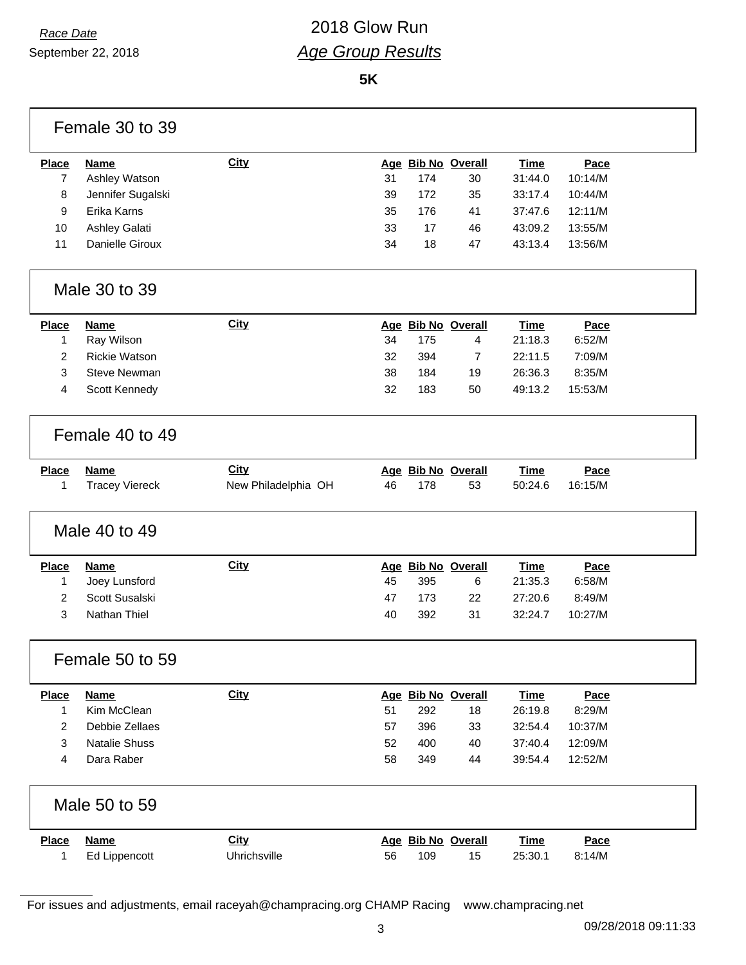September 22, 2018

### *Race Date* 2018 Glow Run *Age Group Results*

**5K**

|                | Female 30 to 39       |                     |    |     |                    |             |         |
|----------------|-----------------------|---------------------|----|-----|--------------------|-------------|---------|
| <b>Place</b>   | <b>Name</b>           | <b>City</b>         |    |     | Age Bib No Overall | <b>Time</b> | Pace    |
| $\overline{7}$ | Ashley Watson         |                     | 31 | 174 | 30                 | 31:44.0     | 10:14/M |
| 8              | Jennifer Sugalski     |                     | 39 | 172 | 35                 | 33:17.4     | 10:44/M |
| 9              | Erika Karns           |                     | 35 | 176 | 41                 | 37:47.6     | 12:11/M |
| 10             | Ashley Galati         |                     | 33 | 17  | 46                 | 43:09.2     | 13:55/M |
| 11             | Danielle Giroux       |                     | 34 | 18  | 47                 | 43:13.4     | 13:56/M |
|                | Male 30 to 39         |                     |    |     |                    |             |         |
| <b>Place</b>   | Name                  | <b>City</b>         |    |     | Age Bib No Overall | <b>Time</b> | Pace    |
| 1              | Ray Wilson            |                     | 34 | 175 | 4                  | 21:18.3     | 6:52/M  |
| $\overline{2}$ | <b>Rickie Watson</b>  |                     | 32 | 394 | 7                  | 22:11.5     | 7:09/M  |
| 3              | <b>Steve Newman</b>   |                     | 38 | 184 | 19                 | 26:36.3     | 8:35/M  |
| 4              | Scott Kennedy         |                     | 32 | 183 | 50                 | 49:13.2     | 15:53/M |
|                | Female 40 to 49       |                     |    |     |                    |             |         |
| <b>Place</b>   | <b>Name</b>           | <b>City</b>         |    |     | Age Bib No Overall | <b>Time</b> | Pace    |
| 1              | <b>Tracey Viereck</b> | New Philadelphia OH | 46 | 178 | 53                 | 50:24.6     | 16:15/M |
|                | Male 40 to 49         |                     |    |     |                    |             |         |
| <b>Place</b>   | <b>Name</b>           | <b>City</b>         |    |     | Age Bib No Overall | <b>Time</b> | Pace    |
| 1              | Joey Lunsford         |                     | 45 | 395 | 6                  | 21:35.3     | 6:58/M  |
| $\overline{2}$ | Scott Susalski        |                     | 47 | 173 | 22                 | 27:20.6     | 8:49/M  |
| 3              | Nathan Thiel          |                     | 40 | 392 | 31                 | 32:24.7     | 10:27/M |
|                | Female 50 to 59       |                     |    |     |                    |             |         |
| <b>Place</b>   | <b>Name</b>           | <b>City</b>         |    |     | Age Bib No Overall | <b>Time</b> | Pace    |
| 1              | Kim McClean           |                     | 51 | 292 | 18                 | 26:19.8     | 8:29/M  |
| $\overline{c}$ | Debbie Zellaes        |                     | 57 | 396 | 33                 | 32:54.4     | 10:37/M |
| 3              | <b>Natalie Shuss</b>  |                     | 52 | 400 | 40                 | 37:40.4     | 12:09/M |
| 4              | Dara Raber            |                     | 58 | 349 | 44                 | 39:54.4     | 12:52/M |
|                | Male 50 to 59         |                     |    |     |                    |             |         |
| <b>Place</b>   | <b>Name</b>           | <b>City</b>         |    |     | Age Bib No Overall | <b>Time</b> | Pace    |
| 1              | Ed Lippencott         | Uhrichsville        | 56 | 109 | 15                 | 25:30.1     | 8:14/M  |

For issues and adjustments, email raceyah@champracing.org CHAMP Racing www.champracing.net